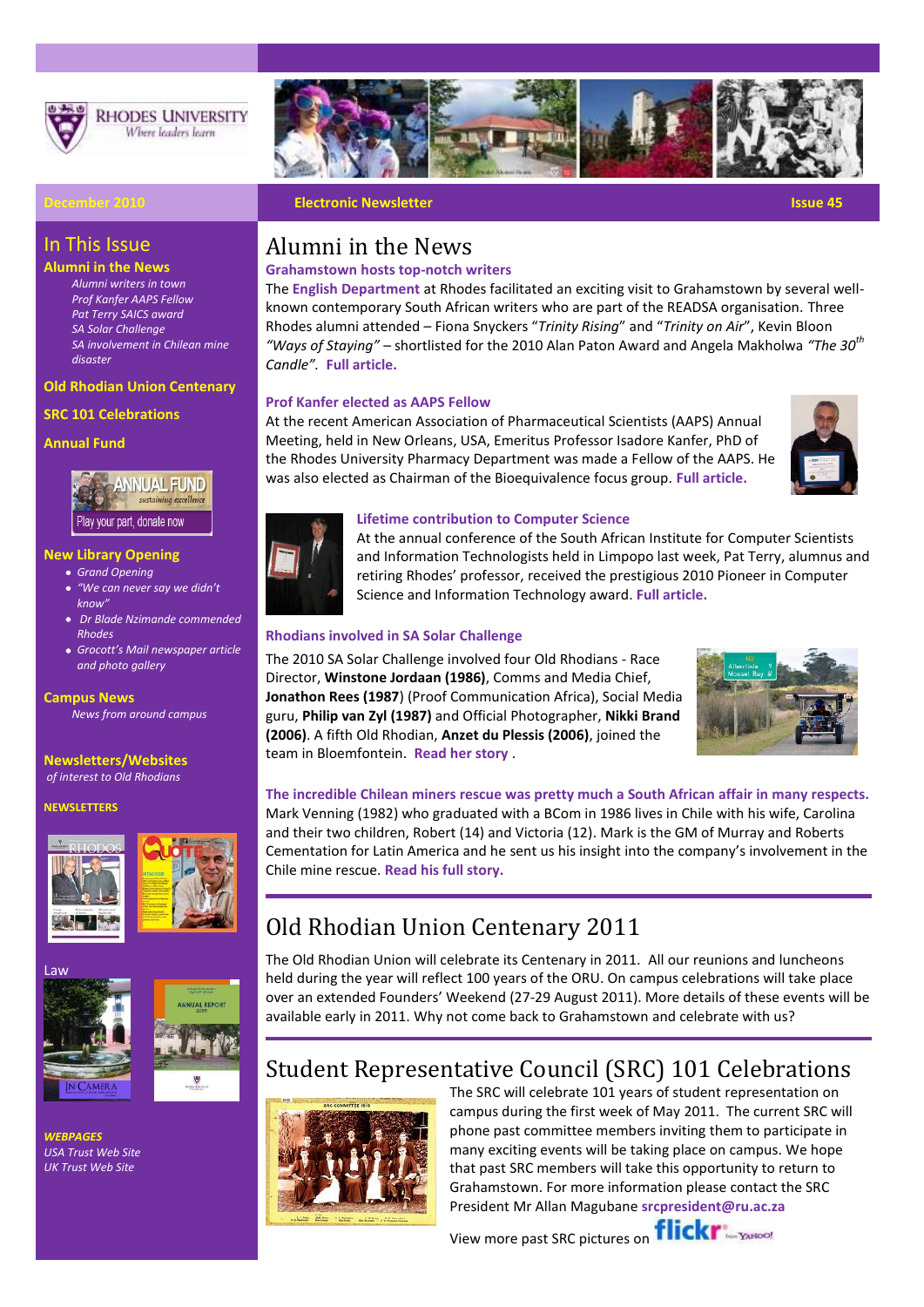

**RHODES UNIVERSITY** Where leaders learn

*[SA involvement in Chilean mine](http://www.ru.ac.za/alumni/latestnewsonalumni)* 

**[Old](http://www.myvirtualpaper.com/doc/rhodes_university/rhodos_april/2010032201/) Rhodian Union Centenary**



### **December 2010 Electronic Newsletter Issue 45**

In This Issue **Alumni in the News** *[Alumni writers in town](http://www.ru.ac.za/modules/blog_include/blog_content.php?blog_id=1531) [Prof Kanfer AAPS Fellow](http://www.ru.ac.za/modules/blog_include/blog_content.php?blog_id=1553) [Pat Terry SAICS award](http://www.ru.ac.za/modules/blog_include/blog_content.php?blog_id=1462) [SA Solar Challenge](http://www.ru.ac.za/alumni/latestnewsonalumni)*

*[disaster](http://www.ru.ac.za/alumni/latestnewsonalumni)*

**Annual Fund**

**SRC 101 Celebrations**

**New Library Opening** *[Grand Opening](http://www.ru.ac.za/library/ournewlibrary/thegrandopening)*

Play your part, donate now

*[and photo gallery](http://www.grocotts.co.za/content/galleries/photo-galleries/new-rhodes-library-02-02-2010)*

**Newsletters/Websites** *of interest to Old Rhodians* 

*[Dr Blade Nzimande commended](http://www.ru.ac.za/modules/blog_include/blog_content.php?blog_id=1507)* 

**ANNUAL FUND** sustaining excellence

*[Grocott's Mail newspaper article](http://www.grocotts.co.za/content/galleries/photo-galleries/new-rhodes-library-02-02-2010)* 

*[News from around campus](https://www.ru.ac.za/modules/blog_include/blog_archive.php?page_id=1)*

*[know"](http://www.ru.ac.za/modules/blog_include/blog_content.php?blog_id=1508)*

*[Rhodes](http://www.ru.ac.za/modules/blog_include/blog_content.php?blog_id=1507)*

**Campus News**

**NEWSLETTERS**

## Alumni in the News

**Grahamstown hosts top-notch writers**

The **[English Department](http://www.ru.ac.za/english/)** at Rhodes facilitated an exciting visit to Grahamstown by several wellknown contemporary South African writers who are part of the READSA organisation. Three Rhodes alumni attended – Fiona Snyckers "*Trinity Rising*" and "*Trinity on Air*", Kevin Bloon *"Ways of Staying"* – shortlisted for the 2010 Alan Paton Award and Angela Makholwa *"The 30th Candle".* **[Full article.](http://www.ru.ac.za/modules/blog_include/blog_content.php?blog_id=1531)**

#### **Prof Kanfer elected as AAPS Fellow**

At the recent American Association of Pharmaceutical Scientists (AAPS) Annual Meeting, held in New Orleans, USA, Emeritus Professor Isadore Kanfer, PhD of the Rhodes University Pharmacy Department was made a Fellow of the AAPS. He was also elected as Chairman of the Bioequivalence focus group. **[Full article.](http://www.ru.ac.za/modules/blog_include/blog_content.php?blog_id=1553)**





#### **Lifetime contribution to Computer Science**

At the annual conference of the South African Institute for Computer Scientists and Information Technologists held in Limpopo last week, Pat Terry, alumnus and retiring Rhodes' professor, received the prestigious 2010 Pioneer in Computer Science and Information Technology award. **[Full article.](http://www.ru.ac.za/modules/blog_include/blog_content.php?blog_id=1462)**

#### **Rhodians involved in SA Solar Challenge**

The 2010 SA Solar Challenge involved four Old Rhodians - Race Director, **Winstone Jordaan (1986)**, Comms and Media Chief, **Jonathon Rees (1987**) (Proof Communication Africa), Social Media guru, **Philip van Zyl (1987)** and Official Photographer, **Nikki Brand (2006)**. A fifth Old Rhodian, **Anzet du Plessis (2006)**, joined the team in Bloemfontein. **[Read her story](http://www.ru.ac.za/alumni/news/hotgossip/facebooksnippets)** .



### **The incredible Chilean miners rescue was pretty much a South African affair in many respects.**

Mark Venning (1982) who graduated with a BCom in 1986 lives in Chile with his wife, Carolina and their two children, Robert (14) and Victoria (12). Mark is the GM of Murray and Roberts Cementation for Latin America and he sent us his insight into the company's involvement in the Chile mine rescue. **[Read his full story.](http://www.ru.ac.za/alumni/latestnewsonalumni)**

## Old Rhodian Union Centenary 2011

The Old Rhodian Union will celebrate its Centenary in 2011. All our reunions and luncheons held during the year will reflect 100 years of the ORU. On campus celebrations will take place over an extended Founders' Weekend (27-29 August 2011). More details of these events will be available early in 2011. Why not come back to Grahamstown and celebrate with us?

## Student Representative Council (SRC) 101 Celebrations



The SRC will celebrate 101 years of student representation on campus during the first week of May 2011. The current SRC will phone past committee members inviting them to participate in many exciting events will be taking place on campus. We hope that past SRC members will take this opportunity to return to Grahamstown. For more information please contact the SRC President Mr Allan Magubane **[srcpresident@ru.ac.za](mailto:srcpresident@ru.ac.za)**

View more past SRC pictures on **flickr**  $\frac{1}{2}$ 







Law